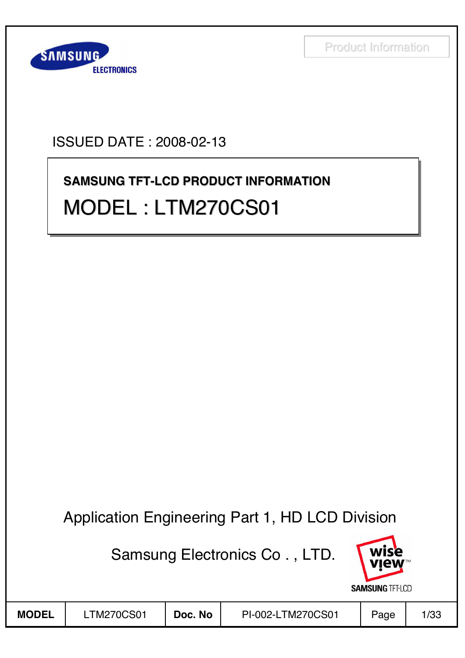

## ISSUED DATE : 2008-02-13

# **SAMSUNG TFT-LCD PRODUCT INFORMATION SAMSUNG TFT SAMSUNG TFT-LCD PRODUCT INFORMATION** MODEL : LTM270CS01 MODEL : LTM270CS01 MODEL : LTM270CS01

## Application Engineering Part 1, HD LCD Division

Samsung Electronics Co . , LTD.

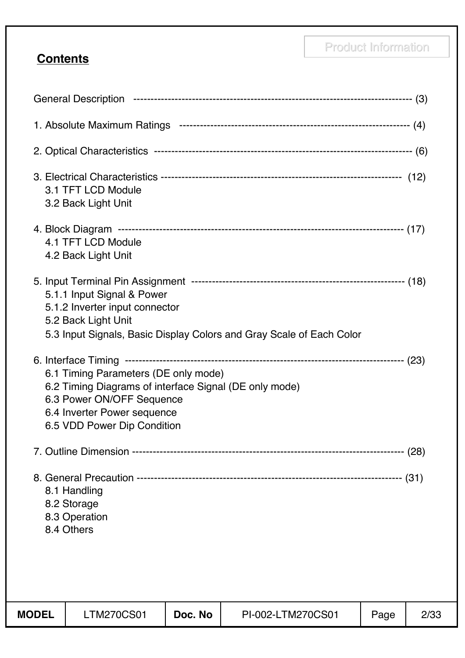## **Contents**

|              | 3.1 TFT LCD Module<br>3.2 Back Light Unit                                                                                                                                                 |         |                                                                      |      |      |
|--------------|-------------------------------------------------------------------------------------------------------------------------------------------------------------------------------------------|---------|----------------------------------------------------------------------|------|------|
|              | 4.1 TFT LCD Module<br>4.2 Back Light Unit                                                                                                                                                 |         |                                                                      |      |      |
|              | 5.1.1 Input Signal & Power<br>5.1.2 Inverter input connector<br>5.2 Back Light Unit                                                                                                       |         | 5.3 Input Signals, Basic Display Colors and Gray Scale of Each Color |      |      |
|              | 6.1 Timing Parameters (DE only mode)<br>6.2 Timing Diagrams of interface Signal (DE only mode)<br>6.3 Power ON/OFF Sequence<br>6.4 Inverter Power sequence<br>6.5 VDD Power Dip Condition |         |                                                                      |      |      |
|              |                                                                                                                                                                                           |         |                                                                      |      |      |
|              | 8.1 Handling<br>8.2 Storage<br>8.3 Operation<br>8.4 Others                                                                                                                                |         |                                                                      |      |      |
| <b>MODEL</b> | <b>LTM270CS01</b>                                                                                                                                                                         | Doc. No | PI-002-LTM270CS01                                                    | Page | 2/33 |
|              |                                                                                                                                                                                           |         |                                                                      |      |      |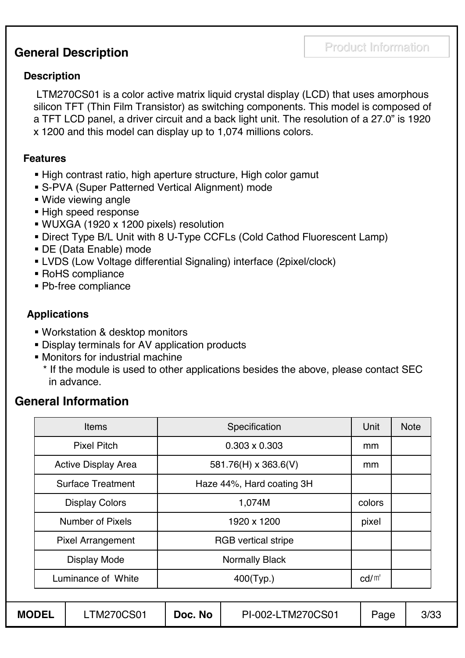## **General Description**

#### **Description**

LTM270CS01 is a color active matrix liquid crystal display (LCD) that uses amorphous silicon TFT (Thin Film Transistor) as switching components. This model is composed of a TFT LCD panel, a driver circuit and a back light unit. The resolution of a 27.0" is 1920 x 1200 and this model can display up to 1,074 millions colors.

#### **Features**

- High contrast ratio, high aperture structure, High color gamut
- S-PVA (Super Patterned Vertical Alignment) mode
- Wide viewing angle
- **High speed response**
- WUXGA (1920 x 1200 pixels) resolution
- Direct Type B/L Unit with 8 U-Type CCFLs (Cold Cathod Fluorescent Lamp)
- DE (Data Enable) mode
- LVDS (Low Voltage differential Signaling) interface (2pixel/clock)
- RoHS compliance
- Pb-free compliance

### **Applications**

- Workstation & desktop monitors
- Display terminals for AV application products
- Monitors for industrial machine
	- \* If the module is used to other applications besides the above, please contact SEC in advance.

## **General Information**

|                                   | <b>Items</b>               | Specification              |                       |        | <b>Note</b> |
|-----------------------------------|----------------------------|----------------------------|-----------------------|--------|-------------|
|                                   | <b>Pixel Pitch</b>         |                            | mm                    |        |             |
|                                   | <b>Active Display Area</b> | 581.76(H) x 363.6(V)       |                       |        |             |
|                                   | <b>Surface Treatment</b>   | Haze 44%, Hard coating 3H  |                       |        |             |
|                                   | <b>Display Colors</b>      |                            | 1,074M                | colors |             |
|                                   | <b>Number of Pixels</b>    |                            | pixel                 |        |             |
|                                   | <b>Pixel Arrangement</b>   | <b>RGB</b> vertical stripe |                       |        |             |
|                                   | <b>Display Mode</b>        |                            | <b>Normally Black</b> |        |             |
| Luminance of White                |                            | 400(Typ.)                  |                       |        |             |
|                                   |                            |                            |                       |        |             |
| <b>MODEL</b><br><b>LTM270CS01</b> |                            | Doc. No                    | PI-002-LTM270CS01     | Page   | 3/33        |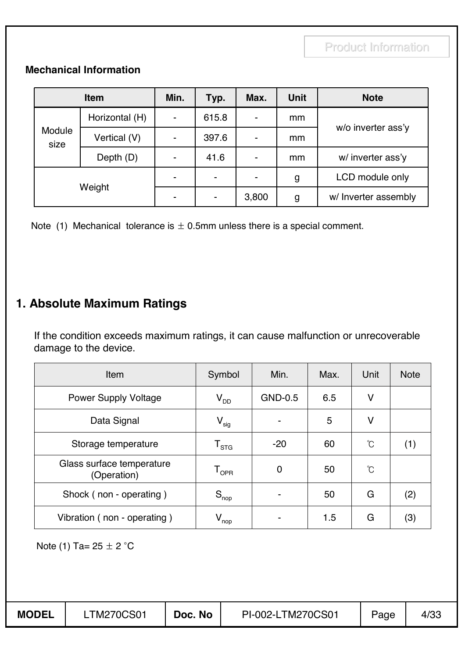#### **Mechanical Information**

| <b>Item</b>    |                | Min.                     | Typ.                     | Max.  | <b>Unit</b>   | <b>Note</b>          |
|----------------|----------------|--------------------------|--------------------------|-------|---------------|----------------------|
| Module<br>size | Horizontal (H) | $\blacksquare$           | 615.8                    | ۰     | <sub>mm</sub> |                      |
|                | Vertical (V)   | $\overline{\phantom{0}}$ | 397.6                    | ۰     | <sub>mm</sub> | w/o inverter ass'y   |
|                | Depth (D)      | $\overline{\phantom{0}}$ | 41.6                     | -     | mm            | w/ inverter ass'y    |
| Weight         |                | ۰                        | $\overline{\phantom{a}}$ |       | g             | LCD module only      |
|                |                |                          | $\overline{\phantom{a}}$ | 3,800 | g             | w/ Inverter assembly |

Note (1) Mechanical tolerance is  $\pm$  0.5mm unless there is a special comment.

## **1. Absolute Maximum Ratings**

If the condition exceeds maximum ratings, it can cause malfunction or unrecoverable damage to the device.

| Item                                     | Symbol                      | Min.    | Max. | Unit            | <b>Note</b> |
|------------------------------------------|-----------------------------|---------|------|-----------------|-------------|
| <b>Power Supply Voltage</b>              | $\mathsf{V}_{\mathsf{DD}}$  | GND-0.5 | 6.5  | V               |             |
| Data Signal                              | $\mathsf{V}_{\mathsf{sig}}$ |         | 5    | V               |             |
| Storage temperature                      | $\mathsf{T}_{\textsf{STG}}$ | $-20$   | 60   | $\int_0^\infty$ | (1)         |
| Glass surface temperature<br>(Operation) | $\mathsf{T}_{\mathsf{OPR}}$ | 0       | 50   | Ĉ               |             |
| Shock (non - operating)                  | $S_{\text{nop}}$            |         | 50   | G               | (2)         |
| Vibration (non - operating)              | $V_{\text{nop}}$            |         | 1.5  | G               | (3)         |

Note (1) Ta=  $25 \pm 2 °C$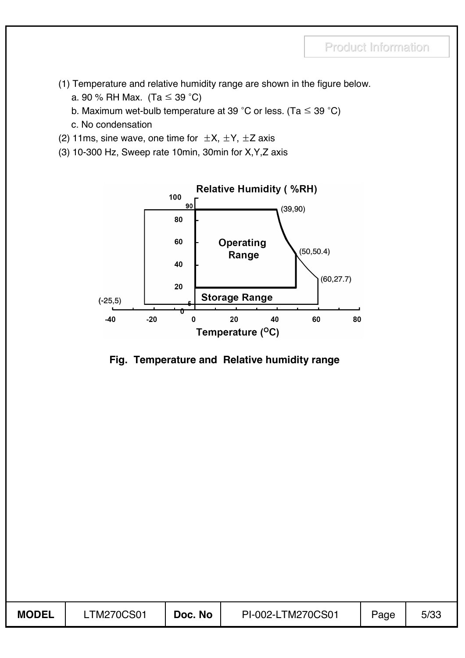- (1) Temperature and relative humidity range are shown in the figure below.
	- a. 90 % RH Max. (Ta  $\leq$  39 °C)
	- b. Maximum wet-bulb temperature at 39 °C or less. (Ta  $\leq$  39 °C)
	- c. No condensation
- (2) 11ms, sine wave, one time for  $\pm X$ ,  $\pm Y$ ,  $\pm Z$  axis
- (3) 10-300 Hz, Sweep rate 10min, 30min for X,Y,Z axis



#### **Fig. Temperature and Relative humidity range**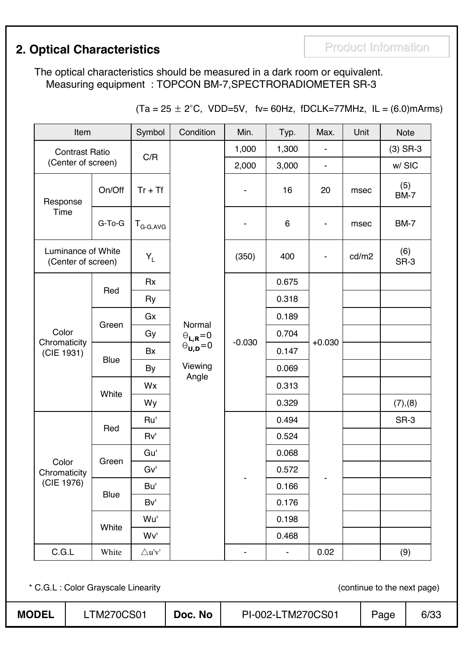## **2. Optical Characteristics Product Information**

The optical characteristics should be measured in a dark room or equivalent. Measuring equipment : TOPCON BM-7,SPECTRORADIOMETER SR-3

| $(Ta = 25 \pm 2^{\circ}C, VDD=5V,$ fv= 60Hz, fDCLK=77MHz, IL = (6.0)mArms) |  |  |  |  |
|----------------------------------------------------------------------------|--|--|--|--|
|----------------------------------------------------------------------------|--|--|--|--|

| Item                                     |             |                  | Condition                                                                                                                     | Min.     | Typ.           | Max.                     | Unit  | <b>Note</b>        |
|------------------------------------------|-------------|------------------|-------------------------------------------------------------------------------------------------------------------------------|----------|----------------|--------------------------|-------|--------------------|
| <b>Contrast Ratio</b>                    |             | C/R              |                                                                                                                               | 1,000    | 1,300          |                          |       | $(3)$ SR-3         |
| (Center of screen)                       |             |                  |                                                                                                                               | 2,000    | 3,000          |                          |       | w/SIC              |
| Response                                 | On/Off      | $Tr + Tf$        |                                                                                                                               |          | 16             | 20                       | msec  | (5)<br><b>BM-7</b> |
| Time                                     | G-To-G      | $T_{G-G,AVG}$    |                                                                                                                               |          | 6              | $\overline{\phantom{a}}$ | msec  | <b>BM-7</b>        |
| Luminance of White<br>(Center of screen) |             | $Y_L$            |                                                                                                                               | (350)    | 400            | $\overline{\phantom{a}}$ | cd/m2 | (6)<br>SR-3        |
|                                          |             | Rx               |                                                                                                                               |          | 0.675          | $+0.030$                 |       |                    |
|                                          | Red         | Ry               |                                                                                                                               |          | 0.318          |                          |       |                    |
|                                          |             | Gx               | Normal                                                                                                                        |          | 0.189          |                          |       |                    |
| Color                                    | Green       | Gy               | $\begin{array}{c} \boldsymbol{\Theta}_{\text{L},\text{R}}\!=\!0 \\ \boldsymbol{\Theta}_{\text{U},\text{D}}\!=\!0 \end{array}$ | $-0.030$ | 0.704          |                          |       |                    |
| Chromaticity<br>(CIE 1931)               |             | Bx               |                                                                                                                               |          | 0.147          |                          |       |                    |
|                                          | <b>Blue</b> | By               | Viewing                                                                                                                       |          | 0.069          |                          |       |                    |
|                                          |             | Wx               | Angle                                                                                                                         |          | 0.313          |                          |       |                    |
|                                          | White       | Wy               |                                                                                                                               |          | 0.329          |                          |       | (7), (8)           |
|                                          | Red         | Ru'              |                                                                                                                               |          | 0.494          |                          |       | SR-3               |
|                                          |             | Rv'              |                                                                                                                               |          | 0.524          |                          |       |                    |
| Color                                    | Green       | Gu'              |                                                                                                                               |          | 0.068          |                          |       |                    |
| Chromaticity                             |             | Gv'              |                                                                                                                               |          | 0.572          |                          |       |                    |
| (CIE 1976)                               | Blue        | Bu'              |                                                                                                                               |          | 0.166          |                          |       |                    |
|                                          |             | Bv'              |                                                                                                                               |          | 0.176          |                          |       |                    |
|                                          | White       | Wu'              |                                                                                                                               |          | 0.198          |                          |       |                    |
|                                          |             | Wv'              |                                                                                                                               |          | 0.468          |                          |       |                    |
| C.G.L                                    | White       | $\triangle$ u'v' |                                                                                                                               | -        | $\blacksquare$ | 0.02                     |       | (9)                |

\* C.G.L : Color Grayscale Linearity (continue to the next page)

| <b>MODEL</b> | <b>TM270CS01</b> | Doc. No | PI-002-LTM270CS01 | Page | 6/33 |
|--------------|------------------|---------|-------------------|------|------|
|--------------|------------------|---------|-------------------|------|------|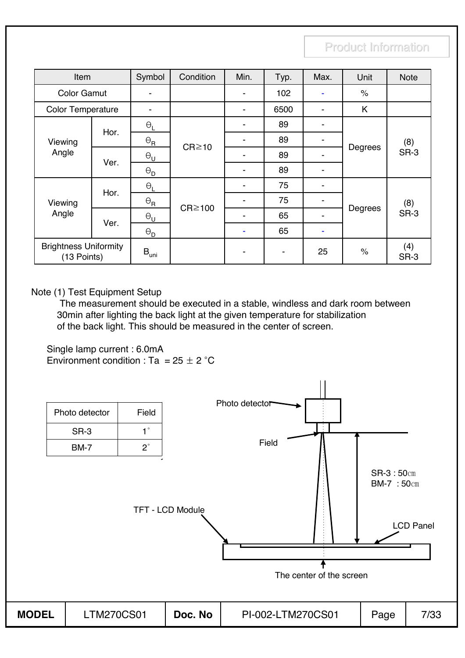| Item                                        |      | Symbol                     | Condition    | Min. | Typ. | Max.                     | Unit    | <b>Note</b> |
|---------------------------------------------|------|----------------------------|--------------|------|------|--------------------------|---------|-------------|
| <b>Color Gamut</b>                          |      |                            |              |      | 102  |                          | $\%$    |             |
| <b>Color Temperature</b>                    |      |                            |              | ۰    | 6500 |                          | K       |             |
| Viewing<br>Angle                            | Hor. | $\Theta_L$                 |              | -    | 89   | ۰                        |         |             |
|                                             |      | $\Theta_{\mathsf{R}}$      | $CR \ge 10$  | ۰    | 89   | $\blacksquare$           | Degrees | (8)<br>SR-3 |
|                                             | Ver. | $\Theta_{\mathsf{U}}$      |              | ۰    | 89   |                          |         |             |
|                                             |      | $\Theta_{\mathsf{D}}$      |              |      | 89   |                          |         |             |
|                                             | Hor. | $\Theta_L$                 |              |      | 75   | ۰                        |         | (8)         |
| Viewing                                     |      | $\frac{\Theta_{\rm R}}{n}$ | $CR \ge 100$ |      | 75   | $\overline{\phantom{a}}$ |         |             |
| Angle                                       | Ver. | $\Theta_{\mathsf{U}}$      |              | -    | 65   | $\blacksquare$           | Degrees | SR-3        |
|                                             |      | $\Theta_{\mathsf{D}}$      |              |      | 65   |                          |         |             |
| <b>Brightness Uniformity</b><br>(13 Points) |      | $B_{\text{uni}}$           |              |      |      | 25                       | $\%$    | (4)<br>SR-3 |

Note (1) Test Equipment Setup

The measurement should be executed in a stable, windless and dark room between 30min after lighting the back light at the given temperature for stabilization of the back light. This should be measured in the center of screen.

Single lamp current : 6.0mA Environment condition : Ta =  $25 \pm 2$  °C

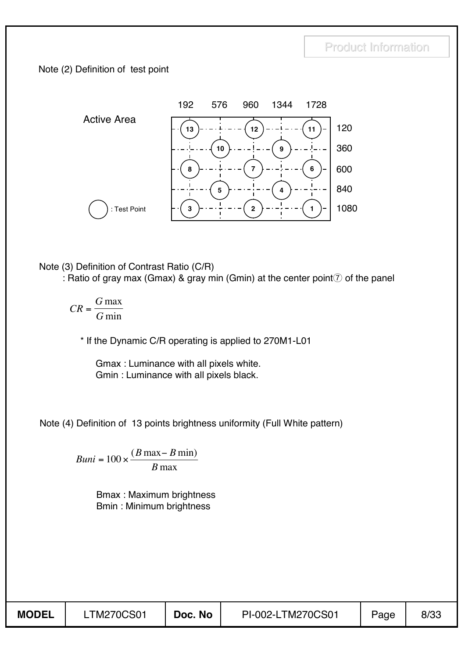#### Note (2) Definition of test point



Note (3) Definition of Contrast Ratio (C/R)

: Ratio of gray max (Gmax) & gray min (Gmin) at the center point  $\bar{Q}$  of the panel

*CR*  $=\frac{G \max}{G \min}$ 

\* If the Dynamic C/R operating is applied to 270M1-L01

Gmax : Luminance with all pixels white. Gmin : Luminance with all pixels black.

Note (4) Definition of 13 points brightness uniformity (Full White pattern)

 $Buni = 100 \times \frac{(B \max - B \min)}{B \max}$ 

Bmax : Maximum brightness Bmin : Minimum brightness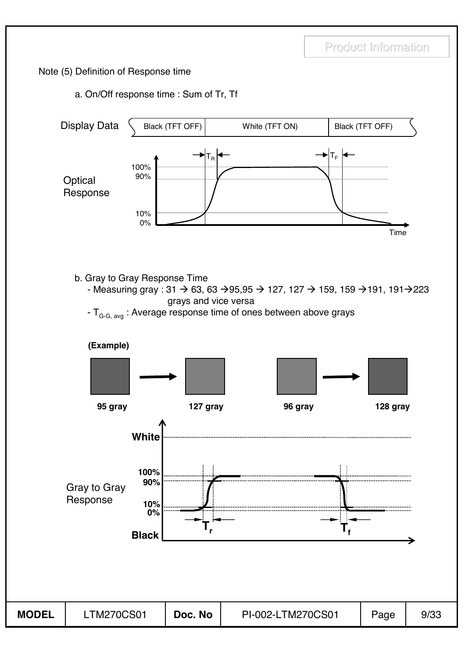#### Note (5) Definition of Response time

#### a. On/Off response time : Sum of Tr, Tf

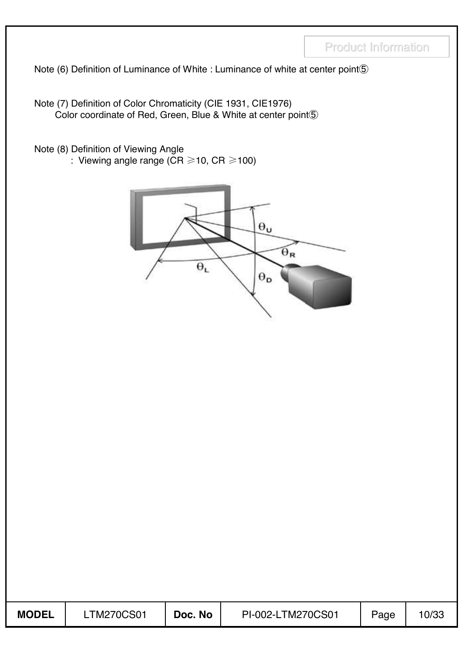Note (6) Definition of Luminance of White : Luminance of white at center point 5

Note (7) Definition of Color Chromaticity (CIE 1931, CIE1976) Color coordinate of Red, Green, Blue & White at center point(5)

Note (8) Definition of Viewing Angle

: Viewing angle range (CR  $\geq$  10, CR  $\geq$  100)



| <b>MODEL</b> | LTM270CS01 | Doc. No | PI-002-LTM270CS01 | Page | 10/33 |
|--------------|------------|---------|-------------------|------|-------|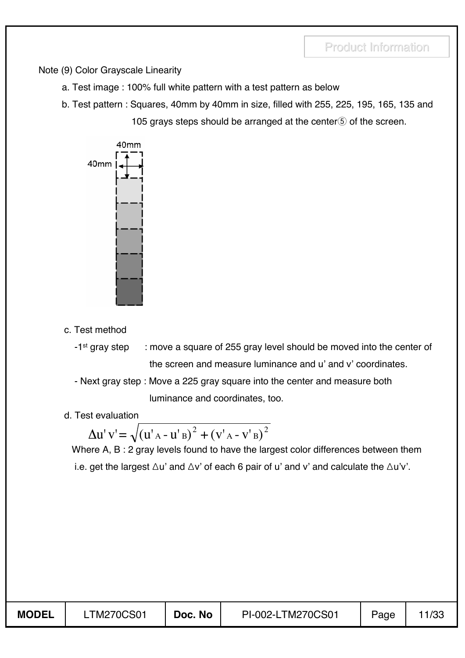Note (9) Color Grayscale Linearity

- a. Test image : 100% full white pattern with a test pattern as below
- b. Test pattern : Squares, 40mm by 40mm in size, filled with 255, 225, 195, 165, 135 and 105 grays steps should be arranged at the center $\S$  of the screen.



- c. Test method
	- -1<sup>st</sup> gray step : move a square of 255 gray level should be moved into the center of the screen and measure luminance and u' and v' coordinates.
	- Next gray step : Move a 225 gray square into the center and measure both

luminance and coordinates, too.

d. Test evaluation

 $\Delta$ u' v' =  $\sqrt{(u'_{A} - u'_{B})^2 + (v'_{A} - v'_{B})}$  $A - V B$ 2

Where A, B : 2 gray levels found to have the largest color differences between them i.e. get the largest  $\Delta u'$  and  $\Delta v'$  of each 6 pair of u' and v' and calculate the  $\Delta u'v'$ .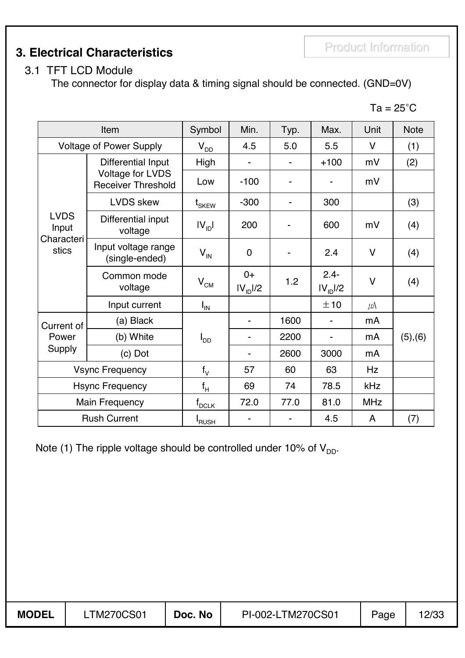**3. Electrical Characteristics**

The connector for display data & timing signal should be connected. (GND=0V)

| Item                                        |                                               | Symbol                    | Min.                         | Typ. | Max.                            | Unit       | <b>Note</b> |
|---------------------------------------------|-----------------------------------------------|---------------------------|------------------------------|------|---------------------------------|------------|-------------|
|                                             | <b>Voltage of Power Supply</b>                | $V_{DD}$                  | 4.5                          | 5.0  | 5.5                             | V          | (1)         |
|                                             | Differential Input                            | High                      |                              |      | $+100$                          | mV         | (2)         |
|                                             | Voltage for LVDS<br><b>Receiver Threshold</b> | Low                       | $-100$                       |      | ۰                               | mV         |             |
|                                             | <b>LVDS</b> skew                              | $\mathfrak{t}_{\rm SKEW}$ | $-300$                       |      | 300                             |            | (3)         |
| <b>LVDS</b><br>Input<br>Characteri<br>stics | Differential input<br>voltage                 | IV <sub>1D</sub>          | 200                          |      | 600                             | mV         | (4)         |
|                                             | Input voltage range<br>(single-ended)         | $V_{\text{IN}}$           | $\mathbf 0$                  |      | 2.4                             | $\vee$     | (4)         |
|                                             | Common mode<br>voltage                        | $V^{\text{CM}}$           | $0+$<br>IV <sub>1D</sub> 1/2 | 1.2  | $2.4 -$<br>IV <sub>ID</sub> I/2 | $\vee$     | (4)         |
|                                             | Input current                                 | $I_{IN}$                  |                              |      | ±10                             | $\mu$ A    |             |
| Current of                                  | (a) Black                                     |                           |                              | 1600 | $\blacksquare$                  | mA         |             |
| Power                                       | (b) White                                     | l <sub>DD</sub>           |                              | 2200 | $\blacksquare$                  | mA         | (5), (6)    |
| Supply                                      | (c) Dot                                       |                           |                              | 2600 | 3000                            | mA         |             |
| <b>Vsync Frequency</b>                      |                                               | $f_V$                     | 57                           | 60   | 63                              | Hz         |             |
|                                             | <b>Hsync Frequency</b>                        | $f_H$                     | 69                           | 74   | 78.5                            | kHz        |             |
|                                             | <b>Main Frequency</b>                         | $f_{DCLK}$                | 72.0                         | 77.0 | 81.0                            | <b>MHz</b> |             |
|                                             | <b>Rush Current</b>                           | <b>I</b> RUSH             |                              |      | 4.5                             | A          | (7)         |

Note (1) The ripple voltage should be controlled under 10% of  $V_{DD}$ .

 $Ta = 25^{\circ}C$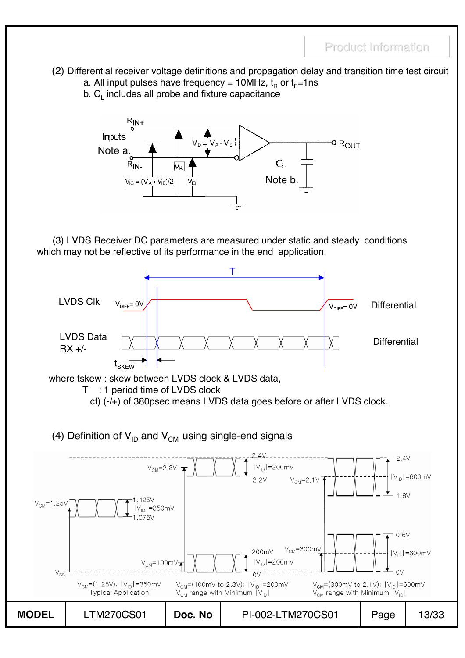- (2) Differential receiver voltage definitions and propagation delay and transition time test circuit
	- a. All input pulses have frequency = 10MHz,  $t_B$  or  $t_F$ =1ns
	- $b. C<sub>l</sub>$  includes all probe and fixture capacitance



(3) LVDS Receiver DC parameters are measured under static and steady conditions which may not be reflective of its performance in the end application.



where tskew : skew between LVDS clock & LVDS data,



cf) (-/+) of 380psec means LVDS data goes before or after LVDS clock.

(4) Definition of  $V_{ID}$  and  $V_{CM}$  using single-end signals

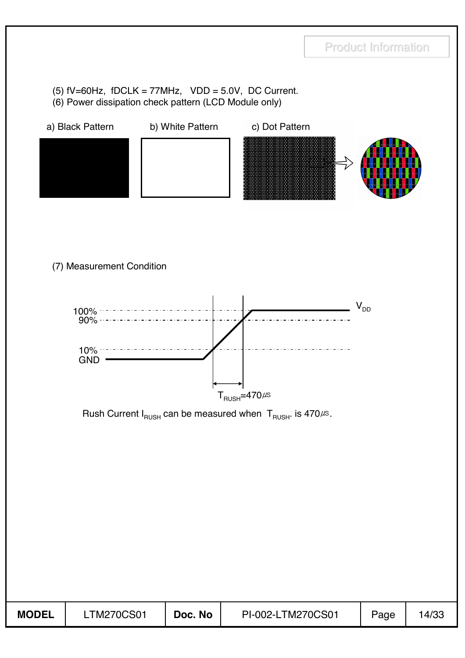#### (5)  $fV=60Hz$ ,  $fDCLK = 77MHz$ ,  $VDD = 5.0V$ , DC Current. (6) Power dissipation check pattern (LCD Module only)

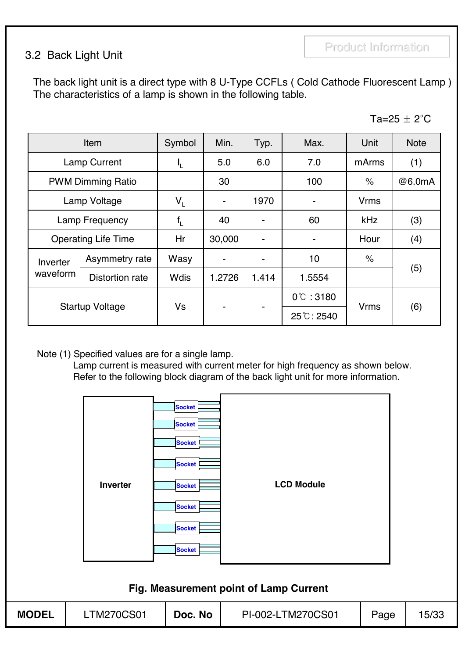### 3.2 Back Light Unit

The back light unit is a direct type with 8 U-Type CCFLs ( Cold Cathode Fluorescent Lamp ) The characteristics of a lamp is shown in the following table.

| ∍ນ⊏<br>А<br>20 |  | $\sim$<br>╭ | ⌒ |
|----------------|--|-------------|---|
|----------------|--|-------------|---|

|                | Item                       | Symbol                    | Min.                     | Typ.                     | Max.                 | Unit        | <b>Note</b> |
|----------------|----------------------------|---------------------------|--------------------------|--------------------------|----------------------|-------------|-------------|
|                | <b>Lamp Current</b>        |                           | 5.0                      | 6.0                      | 7.0                  | mArms       | (1)         |
|                | <b>PWM Dimming Ratio</b>   |                           | 30                       |                          | 100                  | $\%$        | @6.0mA      |
| Lamp Voltage   |                            | $V_{\perp}$               | $\overline{\phantom{a}}$ | 1970                     |                      | <b>Vrms</b> |             |
| Lamp Frequency |                            | $\mathsf{f}_{\mathsf{L}}$ | 40                       | $\overline{\phantom{a}}$ | 60                   | kHz         | (3)         |
|                | <b>Operating Life Time</b> |                           | 30,000                   | $\overline{\phantom{a}}$ |                      | Hour        | (4)         |
| Inverter       | Asymmetry rate             | Wasy                      |                          | $\overline{\phantom{a}}$ | 10                   | $\%$        |             |
| waveform       | Distortion rate            | <b>Wdis</b>               | 1.2726                   | 1.414                    | 1.5554               |             | (5)         |
|                |                            |                           |                          |                          | $0^{\circ}$ : 3180   |             |             |
|                | <b>Startup Voltage</b>     | Vs                        | $\blacksquare$           | $\overline{\phantom{a}}$ | $25^{\circ}$ C: 2540 | <b>Vrms</b> | (6)         |

Note (1) Specified values are for a single lamp.

Lamp current is measured with current meter for high frequency as shown below. Refer to the following block diagram of the back light unit for more information.

|                                        | Inverter          | <b>Socket</b><br><b>Socket</b><br><b>Socket</b><br><b>Socket</b><br><b>Socket</b><br><b>Socket</b><br><b>Socket</b><br><b>Socket</b> | <b>LCD Module</b> |      |       |  |  |  |  |  |  |
|----------------------------------------|-------------------|--------------------------------------------------------------------------------------------------------------------------------------|-------------------|------|-------|--|--|--|--|--|--|
| Fig. Measurement point of Lamp Current |                   |                                                                                                                                      |                   |      |       |  |  |  |  |  |  |
| <b>MODEL</b>                           | <b>LTM270CS01</b> | Doc. No                                                                                                                              | PI-002-LTM270CS01 | Page | 15/33 |  |  |  |  |  |  |
|                                        |                   |                                                                                                                                      |                   |      |       |  |  |  |  |  |  |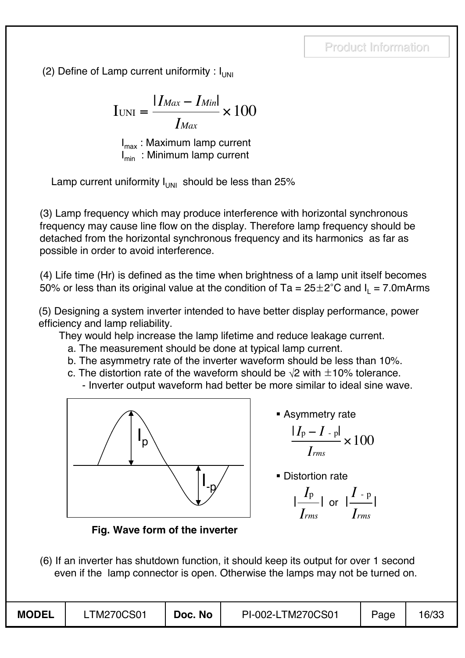(2) Define of Lamp current uniformity :  $I_{UNI}$ 

$$
I_{\text{UNI}} = \frac{|I_{\text{Max}} - I_{\text{Min}}|}{I_{\text{Max}}} \times 100
$$

 $I_{\text{max}}$ : Maximum lamp current  $I_{\min}$ : Minimum lamp current

Lamp current uniformity  $I_{UNI}$  should be less than 25%

(3) Lamp frequency which may produce interference with horizontal synchronous frequency may cause line flow on the display. Therefore lamp frequency should be detached from the horizontal synchronous frequency and its harmonics as far as possible in order to avoid interference.

(4) Life time (Hr) is defined as the time when brightness of a lamp unit itself becomes 50% or less than its original value at the condition of Ta =  $25\pm2^{\circ}$ C and I<sub>1</sub> = 7.0mArms

(5) Designing a system inverter intended to have better display performance, power efficiency and lamp reliability.

They would help increase the lamp lifetime and reduce leakage current.

- a. The measurement should be done at typical lamp current.
- b. The asymmetry rate of the inverter waveform should be less than 10%.
- c. The distortion rate of the waveform should be  $\sqrt{2}$  with  $\pm 10\%$  tolerance.
	- Inverter output waveform had better be more similar to ideal sine wave.



Asymmetry rate

$$
\frac{|I_{\rm p}-I_{\rm -p}|}{I_{rms}}\times 100
$$

**Distortion rate** 

$$
\frac{|I_{\rm p}|}{I_{\rm rms}} | \text{ or } |\frac{I_{\rm -p}}{I_{\rm rms}} |
$$

**Fig. Wave form of the inverter**

(6) If an inverter has shutdown function, it should keep its output for over 1 second even if the lamp connector is open. Otherwise the lamps may not be turned on.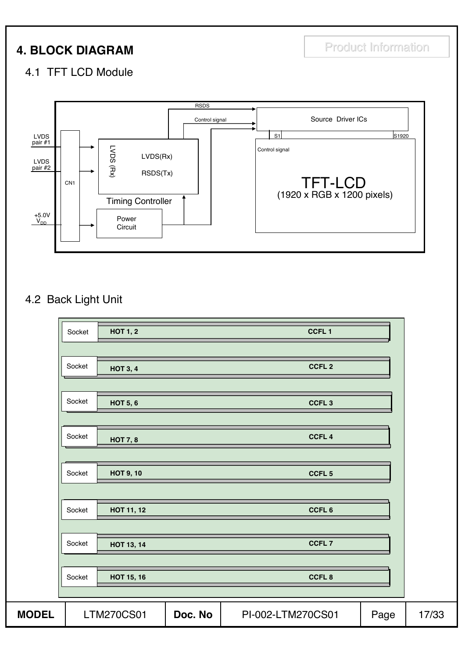## **4. BLOCK DIAGRAM** Product Information

### 4.1 TFT LCD Module



## 4.2 Back Light Unit

| Socket | <b>HOT 1, 2</b>   |         | CCFL <sub>1</sub> |      |       |
|--------|-------------------|---------|-------------------|------|-------|
|        |                   |         |                   |      |       |
| Socket | <b>HOT 3, 4</b>   |         | CCFL <sub>2</sub> |      |       |
|        |                   |         |                   |      |       |
| Socket | <b>HOT 5, 6</b>   |         | CCFL <sub>3</sub> |      |       |
|        |                   |         |                   |      |       |
| Socket | <b>HOT 7, 8</b>   |         | CCFL <sub>4</sub> |      |       |
|        |                   |         |                   |      |       |
| Socket | <b>HOT 9, 10</b>  |         | CCFL <sub>5</sub> |      |       |
|        |                   |         |                   |      |       |
| Socket | HOT 11, 12        |         | CCFL <sub>6</sub> |      |       |
|        |                   |         |                   |      |       |
| Socket | <b>HOT 13, 14</b> |         | CCFL <sub>7</sub> |      |       |
|        |                   |         |                   |      |       |
| Socket | HOT 15, 16        |         | CCFL8             |      |       |
|        |                   |         |                   |      |       |
|        | <b>LTM270CS01</b> | Doc. No | PI-002-LTM270CS01 | Page | 17/33 |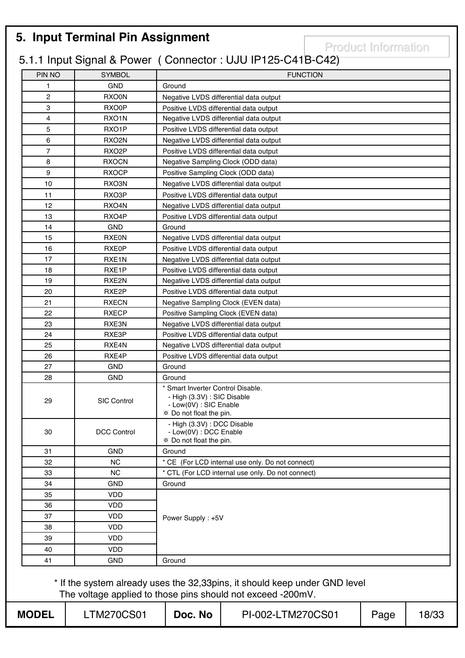## **5. Input Terminal Pin Assignment**

Product Information

## 5.1.1 Input Signal & Power ( Connector : UJU IP125-C41B-C42)

| PIN NO                  | <b>SYMBOL</b>      |                                                                                                                       | <b>FUNCTION</b>                                                                                                                           |      |       |  |  |  |  |
|-------------------------|--------------------|-----------------------------------------------------------------------------------------------------------------------|-------------------------------------------------------------------------------------------------------------------------------------------|------|-------|--|--|--|--|
| 1                       | <b>GND</b>         | Ground                                                                                                                |                                                                                                                                           |      |       |  |  |  |  |
| $\overline{\mathbf{c}}$ | RXO0N              |                                                                                                                       | Negative LVDS differential data output                                                                                                    |      |       |  |  |  |  |
| 3                       | RXO0P              |                                                                                                                       | Positive LVDS differential data output                                                                                                    |      |       |  |  |  |  |
| 4                       | RXO <sub>1</sub> N |                                                                                                                       | Negative LVDS differential data output                                                                                                    |      |       |  |  |  |  |
| 5                       | RXO <sub>1</sub> P |                                                                                                                       | Positive LVDS differential data output                                                                                                    |      |       |  |  |  |  |
| 6                       | RXO <sub>2N</sub>  |                                                                                                                       | Negative LVDS differential data output                                                                                                    |      |       |  |  |  |  |
| $\overline{7}$          | RXO <sub>2</sub> P |                                                                                                                       | Positive LVDS differential data output                                                                                                    |      |       |  |  |  |  |
| 8                       | <b>RXOCN</b>       | Negative Sampling Clock (ODD data)                                                                                    |                                                                                                                                           |      |       |  |  |  |  |
| 9                       | <b>RXOCP</b>       | Positive Sampling Clock (ODD data)                                                                                    |                                                                                                                                           |      |       |  |  |  |  |
| 10                      | RXO3N              |                                                                                                                       | Negative LVDS differential data output                                                                                                    |      |       |  |  |  |  |
| 11                      | RXO3P              |                                                                                                                       | Positive LVDS differential data output                                                                                                    |      |       |  |  |  |  |
| 12                      | RXO4N              |                                                                                                                       | Negative LVDS differential data output                                                                                                    |      |       |  |  |  |  |
| 13                      | RXO4P              |                                                                                                                       | Positive LVDS differential data output                                                                                                    |      |       |  |  |  |  |
| 14                      | <b>GND</b>         | Ground                                                                                                                |                                                                                                                                           |      |       |  |  |  |  |
| 15                      | <b>RXE0N</b>       |                                                                                                                       | Negative LVDS differential data output                                                                                                    |      |       |  |  |  |  |
| 16                      | RXE0P              |                                                                                                                       | Positive LVDS differential data output                                                                                                    |      |       |  |  |  |  |
| 17                      | RXE <sub>1</sub> N |                                                                                                                       | Negative LVDS differential data output                                                                                                    |      |       |  |  |  |  |
| 18                      | RXE1P              |                                                                                                                       | Positive LVDS differential data output                                                                                                    |      |       |  |  |  |  |
| 19                      | RXE2N              |                                                                                                                       | Negative LVDS differential data output                                                                                                    |      |       |  |  |  |  |
| 20                      | RXE2P              |                                                                                                                       | Positive LVDS differential data output                                                                                                    |      |       |  |  |  |  |
| 21                      | <b>RXECN</b>       |                                                                                                                       | Negative Sampling Clock (EVEN data)                                                                                                       |      |       |  |  |  |  |
| 22                      | <b>RXECP</b>       |                                                                                                                       | Positive Sampling Clock (EVEN data)                                                                                                       |      |       |  |  |  |  |
| 23                      | RXE3N              | Negative LVDS differential data output                                                                                |                                                                                                                                           |      |       |  |  |  |  |
| 24                      | RXE3P              |                                                                                                                       | Positive LVDS differential data output                                                                                                    |      |       |  |  |  |  |
| 25                      | RXE4N              |                                                                                                                       | Negative LVDS differential data output                                                                                                    |      |       |  |  |  |  |
| 26                      | RXE4P              |                                                                                                                       | Positive LVDS differential data output                                                                                                    |      |       |  |  |  |  |
| 27                      | <b>GND</b>         | Ground                                                                                                                |                                                                                                                                           |      |       |  |  |  |  |
| 28                      | <b>GND</b>         | Ground                                                                                                                |                                                                                                                                           |      |       |  |  |  |  |
| 29                      | <b>SIC Control</b> | * Smart Inverter Control Disable.<br>- High (3.3V) : SIC Disable<br>- Low(0V) : SIC Enable<br>* Do not float the pin. |                                                                                                                                           |      |       |  |  |  |  |
| 30                      | <b>DCC Control</b> | - High (3.3V) : DCC Disable<br>- Low(0V) : DCC Enable<br>* Do not float the pin.                                      |                                                                                                                                           |      |       |  |  |  |  |
| 31                      | <b>GND</b>         | Ground                                                                                                                |                                                                                                                                           |      |       |  |  |  |  |
| 32                      | <b>NC</b>          |                                                                                                                       | * CE (For LCD internal use only. Do not connect)                                                                                          |      |       |  |  |  |  |
| 33                      | <b>NC</b>          |                                                                                                                       | * CTL (For LCD internal use only. Do not connect)                                                                                         |      |       |  |  |  |  |
| 34                      | <b>GND</b>         | Ground                                                                                                                |                                                                                                                                           |      |       |  |  |  |  |
| 35                      | VDD                |                                                                                                                       |                                                                                                                                           |      |       |  |  |  |  |
| 36                      | <b>VDD</b>         |                                                                                                                       |                                                                                                                                           |      |       |  |  |  |  |
| 37                      | <b>VDD</b>         | Power Supply: +5V                                                                                                     |                                                                                                                                           |      |       |  |  |  |  |
| 38                      | VDD                |                                                                                                                       |                                                                                                                                           |      |       |  |  |  |  |
| 39                      | <b>VDD</b>         |                                                                                                                       |                                                                                                                                           |      |       |  |  |  |  |
| 40                      | <b>VDD</b>         |                                                                                                                       |                                                                                                                                           |      |       |  |  |  |  |
| 41                      | <b>GND</b>         | Ground                                                                                                                |                                                                                                                                           |      |       |  |  |  |  |
|                         |                    |                                                                                                                       | * If the system already uses the 32,33pins, it should keep under GND level<br>The voltage applied to those pins should not exceed -200mV. |      |       |  |  |  |  |
| <b>MODEL</b>            | <b>LTM270CS01</b>  | Doc. No                                                                                                               | PI-002-LTM270CS01                                                                                                                         | Page | 18/33 |  |  |  |  |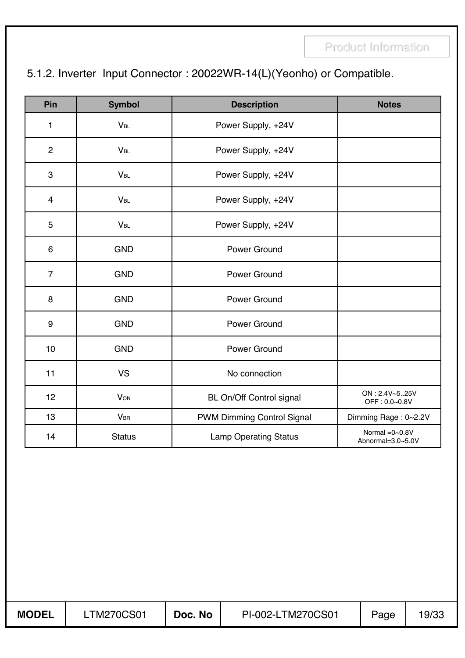## 5.1.2. Inverter Input Connector : 20022WR-14(L)(Yeonho) or Compatible.

| <b>Pin</b>     | <b>Symbol</b>         | <b>Description</b>           | <b>Notes</b>                           |
|----------------|-----------------------|------------------------------|----------------------------------------|
| 1              | <b>V<sub>BL</sub></b> | Power Supply, +24V           |                                        |
| $\overline{2}$ | $V_{BL}$              | Power Supply, +24V           |                                        |
| 3              | <b>V<sub>BL</sub></b> | Power Supply, +24V           |                                        |
| $\overline{4}$ | <b>V<sub>BL</sub></b> | Power Supply, +24V           |                                        |
| 5              | $V_{BL}$              | Power Supply, +24V           |                                        |
| 6              | <b>GND</b>            | Power Ground                 |                                        |
| $\overline{7}$ | <b>GND</b>            | <b>Power Ground</b>          |                                        |
| 8              | <b>GND</b>            | Power Ground                 |                                        |
| 9              | <b>GND</b>            | Power Ground                 |                                        |
| 10             | <b>GND</b>            | Power Ground                 |                                        |
| 11             | <b>VS</b>             | No connection                |                                        |
| 12             | <b>VON</b>            | BL On/Off Control signal     | ON: 2.4V~525V<br>OFF: 0.0~0.8V         |
| 13             | $V_{\text{BR}}$       | PWM Dimming Control Signal   | Dimming Rage: 0~2.2V                   |
| 14             | <b>Status</b>         | <b>Lamp Operating Status</b> | Normal $=0$ ~0.8V<br>Abnormal=3.0~5.0V |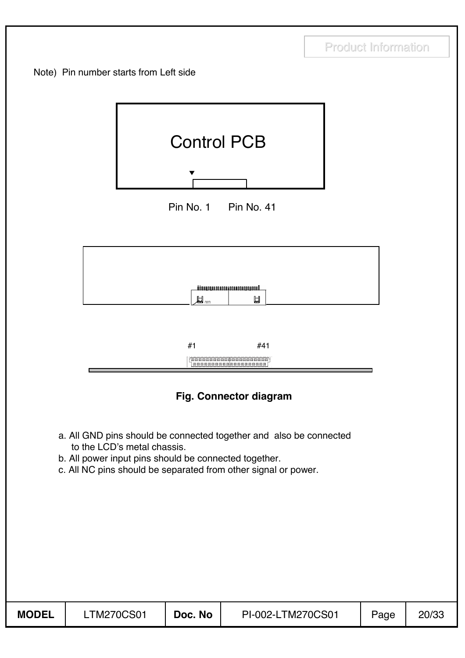







#### **Fig. Connector diagram**

- a. All GND pins should be connected together and also be connected to the LCD's metal chassis.
- b. All power input pins should be connected together.
- c. All NC pins should be separated from other signal or power.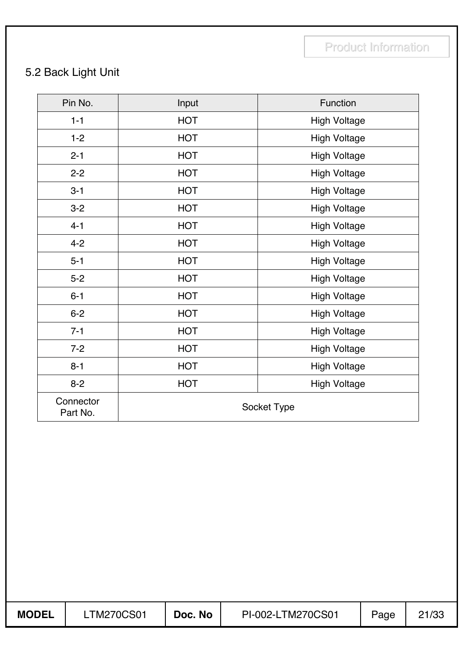## 5.2 Back Light Unit

| Pin No.               | Input      | Function            |
|-----------------------|------------|---------------------|
| $1 - 1$               | <b>HOT</b> | <b>High Voltage</b> |
| $1 - 2$               | <b>HOT</b> | <b>High Voltage</b> |
| $2 - 1$               | <b>HOT</b> | <b>High Voltage</b> |
| $2 - 2$               | <b>HOT</b> | <b>High Voltage</b> |
| $3 - 1$               | <b>HOT</b> | <b>High Voltage</b> |
| $3 - 2$               | <b>HOT</b> | <b>High Voltage</b> |
| $4 - 1$               | <b>HOT</b> | <b>High Voltage</b> |
| $4 - 2$               | <b>HOT</b> | <b>High Voltage</b> |
| $5 - 1$               | <b>HOT</b> | <b>High Voltage</b> |
| $5 - 2$               | <b>HOT</b> | <b>High Voltage</b> |
| $6 - 1$               | <b>HOT</b> | <b>High Voltage</b> |
| $6 - 2$               | <b>HOT</b> | <b>High Voltage</b> |
| $7 - 1$               | <b>HOT</b> | <b>High Voltage</b> |
| $7 - 2$               | <b>HOT</b> | <b>High Voltage</b> |
| $8 - 1$               | <b>HOT</b> | <b>High Voltage</b> |
| $8 - 2$               | <b>HOT</b> | <b>High Voltage</b> |
| Connector<br>Part No. |            | Socket Type         |

**MODEL** | LTM270CS01 | Doc. No | PI-002-LTM270CS01 | Page | 21/33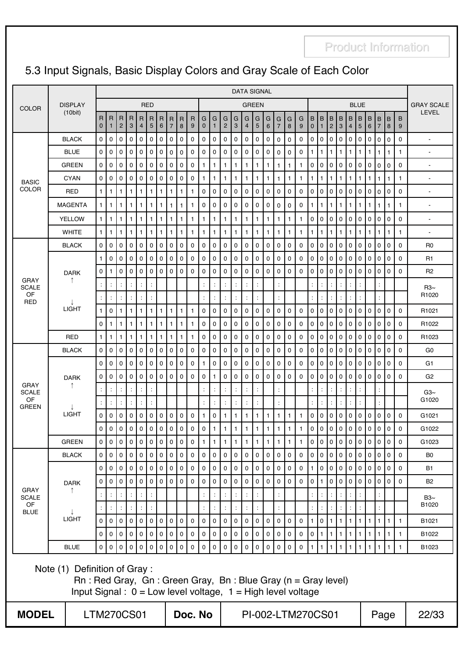## 5.3 Input Signals, Basic Display Colors and Gray Scale of Each Color

|                             |                                                                                                                                       | <b>DATA SIGNAL</b>          |                      |                     |                     |                |                       |                   |                                |                     |                     |                     |                   |                     |                     |                     |                          |                     |                      |              |                   |                          |                                        |                     |                          |                      |                |                |                     |                |                |                                   |
|-----------------------------|---------------------------------------------------------------------------------------------------------------------------------------|-----------------------------|----------------------|---------------------|---------------------|----------------|-----------------------|-------------------|--------------------------------|---------------------|---------------------|---------------------|-------------------|---------------------|---------------------|---------------------|--------------------------|---------------------|----------------------|--------------|-------------------|--------------------------|----------------------------------------|---------------------|--------------------------|----------------------|----------------|----------------|---------------------|----------------|----------------|-----------------------------------|
| <b>COLOR</b>                | <b>DISPLAY</b><br>(10bit)                                                                                                             |                             |                      |                     |                     |                | <b>RED</b>            |                   |                                |                     |                     |                     |                   |                     |                     |                     | <b>GREEN</b>             |                     |                      |              |                   |                          |                                        |                     |                          |                      | <b>BLUE</b>    |                |                     |                |                | <b>GRAY SCALE</b><br><b>LEVEL</b> |
|                             |                                                                                                                                       | $\mathsf{R}$<br>$\mathbf 0$ | R<br>$\mathbf{1}$    | R<br>$\overline{2}$ | R<br>3              | $\overline{4}$ | R R<br>$5\phantom{1}$ | $\mathsf{R}$<br>6 | $\mathsf{R}$<br>$\overline{7}$ | $\overline{R}$<br>8 | $\overline{R}$<br>9 | G<br>$\mathbf 0$    | G<br>$\mathbf{1}$ | G<br>$\overline{2}$ | G<br>3              | G<br>$\overline{4}$ | G<br>5                   | G<br>6              | G<br>$\overline{7}$  | G<br>8       | G<br>9            | B<br>$\mathbf 0$         | B<br>$\mathbf{1}$                      | B<br>$\overline{2}$ | Iв<br>3                  | B<br>$\overline{4}$  | B<br>5         | B<br>6         | B<br>$\overline{7}$ | B <br> 8       | B<br>9         |                                   |
|                             | <b>BLACK</b>                                                                                                                          | 0                           | 0                    | $\mathbf 0$         | $\mathbf 0$         | 0              | 0                     | $\mathbf 0$       | 0                              | $\mathbf 0$         | 0                   | $\mathbf 0$         | 0                 | 0                   | 0                   | 0                   | $\mathbf 0$              | $\mathbf 0$         | 0                    | 0            | 0                 | $\pmb{0}$                | $\mathbf 0$                            | 0                   | $\mathbf 0$              | $\mathbf 0$          | $\mathbf 0$    | 0              | 0                   | $\mathbf 0$    | $\mathbf 0$    | $\blacksquare$                    |
|                             | <b>BLUE</b>                                                                                                                           | $\mathbf 0$                 | 0                    | 0                   | $\mathbf 0$         | 0              | 0                     | $\pmb{0}$         | 0                              | $\mathsf 0$         | $\mathbf 0$         | $\mathbf 0$         | 0                 | 0                   | 0                   | 0                   | $\mathbf 0$              | 0                   | 0                    | 0            | 0                 | 1                        | $\mathbf{1}$                           | $\mathbf{1}$        | $\mathbf{1}$             | $\mathbf{1}$         | $\mathbf{1}$   | $\mathbf{1}$   | $\mathbf{1}$        | $\mathbf{1}$   | $\mathbf{1}$   | $\blacksquare$                    |
|                             | <b>GREEN</b>                                                                                                                          | 0                           | 0                    | 0                   | $\mathbf 0$         | 0              | 0                     | $\pmb{0}$         | 0                              | $\mathbf 0$         | $\mathbf 0$         | $\mathbf{1}$        | $\mathbf{1}$      | 1.                  | $\mathbf{1}$        | $\mathbf{1}$        | $\mathbf{1}$             | $\mathbf{1}$        | $\mathbf{1}$         | $\mathbf{1}$ | $\mathbf{1}$      | 0                        | 0                                      | 0                   | $\mathbf 0$              | 0                    | $\mathbf 0$    | $\mathbf 0$    | 0                   | $\mathbf 0$    | $\mathbf 0$    | $\overline{a}$                    |
| <b>BASIC</b>                | <b>CYAN</b>                                                                                                                           | 0                           | 0                    | 0                   | 0                   | 0              | 0                     | 0                 | 0                              | 0                   | 0                   | $\mathbf{1}$        | $\mathbf{1}$      | 1.                  | 1                   | 1                   | $\mathbf{1}$             | $\mathbf{1}$        | 1                    | $\mathbf{1}$ | 1                 | $\mathbf{1}$             | $\mathbf{1}$                           | 1                   | $\mathbf{1}$             | $\mathbf{1}$         | $\mathbf{1}$   | $\mathbf{1}$   | 1                   | 1              | $\overline{1}$ | $\blacksquare$                    |
| <b>COLOR</b>                | RED                                                                                                                                   | $\mathbf{1}$                | $\mathbf{1}$         | 1                   | $\mathbf{1}$        | $\mathbf{1}$   | $\mathbf{1}$          | $\mathbf{1}$      | 1                              | $\mathbf{1}$        | $\mathbf{1}$        | $\mathbf 0$         | $\mathbf 0$       | 0                   | $\mathbf 0$         | $\Omega$            | $\mathbf 0$              | $\mathbf 0$         | 0                    | 0            | 0                 | 0                        | $\mathbf 0$                            | 0                   | $\mathbf 0$              | $\Omega$             | $\mathbf 0$    | $\mathbf 0$    | $\Omega$            | $\mathbf 0$    | $\mathbf 0$    | $\blacksquare$                    |
|                             | <b>MAGENTA</b>                                                                                                                        | $\mathbf{1}$                | $\mathbf{1}$         | 1                   | 1                   |                | 1                     | $\mathbf{1}$      | $\mathbf 1$                    | $\mathbf{1}$        | 1                   | 0                   | $\mathbf 0$       | 0                   | $\mathbf 0$         | 0                   | $\mathbf 0$              | $\mathbf 0$         | 0                    | 0            | $\mathbf 0$       | $\mathbf{1}$             | $\mathbf{1}$                           | 1                   | $\mathbf{1}$             | $\mathbf{1}$         | $\mathbf{1}$   | $\mathbf{1}$   | $\mathbf{1}$        | $\mathbf{1}$   | $\mathbf{1}$   |                                   |
|                             | <b>YELLOW</b>                                                                                                                         | $\mathbf{1}$                | $\mathbf{1}$         | 1                   | 1                   | $\mathbf{1}$   | 1                     | $\mathbf{1}$      | 1                              | $\mathbf{1}$        | 1                   | $\mathbf{1}$        | $\mathbf{1}$      | 1                   | 1                   | 1                   | $\mathbf{1}$             | $\mathbf{1}$        | 1                    | $\mathbf{1}$ | 1                 | $\mathbf 0$              | $\mathbf 0$                            | $\mathbf 0$         | $\mathbf 0$              | $\mathbf 0$          | $\mathbf 0$    | $\mathbf 0$    | 0                   | $\mathbf 0$    | $\mathbf 0$    | $\blacksquare$                    |
|                             | <b>WHITE</b>                                                                                                                          | $\mathbf{1}$                | $\mathbf{1}$         | $\mathbf{1}$        | $\mathbf{1}$        | $\mathbf{1}$   | $\mathbf{1}$          | $\mathbf{1}$      | 1                              | $\mathbf{1}$        | $\mathbf{1}$        | $\mathbf{1}$        | $\mathbf{1}$      | 1.                  | 1                   | $\mathbf{1}$        | $\mathbf{1}$             | $\mathbf{1}$        | $\mathbf{1}$         | $\mathbf{1}$ | $\mathbf{1}$      | $\mathbf{1}$             | $\mathbf{1}$                           | $\mathbf{1}$        | $\mathbf{1}$             | $\mathbf{1}$         | $\mathbf{1}$   | $\mathbf{1}$   | $\mathbf{1}$        | 1              | $\mathbf{1}$   | $\overline{\phantom{a}}$          |
|                             | <b>BLACK</b>                                                                                                                          | 0                           | 0                    | 0                   | $\mathbf 0$         | 0              | 0                     | $\pmb{0}$         | 0                              | 0                   | $\mathbf 0$         | $\mathbf 0$         | 0                 | 0                   | 0                   | 0                   | 0                        | 0                   | 0                    | 0            | 0                 | $\pmb{0}$                | 0                                      | 0                   | $\mathbf 0$              | 0                    | $\mathbf 0$    | 0              | 0                   | 0              | $\mathbf 0$    | R <sub>0</sub>                    |
|                             |                                                                                                                                       | $\mathbf{1}$                | 0                    | 0                   | 0                   | 0              | 0                     | $\pmb{0}$         | 0                              | $\mathbf 0$         | 0                   | $\mathbf 0$         | 0                 | 0                   | 0                   | 0                   | $\mathbf 0$              | 0                   | 0                    | 0            | 0                 | $\mathsf 0$              | $\mathbf 0$                            | 0                   | $\mathbf 0$              | $\mathbf 0$          | 0              | $\mathbf 0$    | 0                   | 0              | $\pmb{0}$      | R <sub>1</sub>                    |
|                             | <b>DARK</b>                                                                                                                           | 0                           | 1                    | 0                   | $\mathbf 0$         | 0              | $\mathbf 0$           | $\mathbf 0$       | 0                              | $\mathbf 0$         | $\mathbf 0$         | 0                   | $\mathbf 0$       | 0                   | 0                   | 0                   | $\mathbf 0$              | $\mathbf 0$         | 0                    | 0            | 0                 | 0                        | $\mathbf 0$                            | 0                   | $\mathbf 0$              | $\mathbf 0$          | $\mathbf 0$    | $\mathbf 0$    | 0                   | $\mathbf 0$    | $\mathbf 0$    | R <sub>2</sub>                    |
| <b>GRAY</b><br><b>SCALE</b> | ↑                                                                                                                                     |                             |                      |                     | $\ddot{\cdot}$      |                |                       |                   |                                |                     |                     |                     | ÷                 |                     |                     |                     |                          |                     |                      |              |                   |                          | t                                      |                     | $\overline{\phantom{a}}$ |                      |                |                |                     |                |                | $R3\sim$                          |
| OF<br><b>RED</b>            |                                                                                                                                       | ÷                           | ÷                    |                     | ÷                   | ÷              | ÷                     |                   |                                |                     |                     |                     | ÷                 |                     | ÷                   |                     |                          |                     |                      |              |                   |                          | ÷                                      |                     | t                        | ÷                    |                |                |                     |                |                | R1020                             |
|                             | <b>LIGHT</b>                                                                                                                          | $\mathbf{1}$                | 0                    | $\mathbf{1}$        | $\mathbf{1}$        | $\mathbf{1}$   | 1                     | $\mathbf{1}$      | $\mathbf{1}$                   | $\mathbf{1}$        | $\mathbf{1}$        | $\pmb{0}$           | $\mathsf 0$       | 0                   | 0                   | 0                   | $\mathbf 0$              | 0                   | 0                    | 0            | $\mathbf 0$       | $\pmb{0}$                | 0                                      | 0                   | $\mathbf 0$              | $\mathbf 0$          | $\mathbf 0$    | $\mathbf 0$    | 0                   | 0              | $\mathbf 0$    | R1021                             |
|                             |                                                                                                                                       | 0                           | $\mathbf{1}$         | 1                   | $\mathbf{1}$        | $\mathbf{1}$   | 1                     | $\mathbf{1}$      | $\mathbf{1}$                   | $\mathbf{1}$        | $\mathbf{1}$        | $\pmb{0}$           | 0                 | 0                   | 0                   | 0                   | $\mathbf 0$              | 0                   | 0                    | 0            | 0                 | 0                        | $\mathbf 0$                            | 0                   | $\pmb{0}$                | 0                    | 0              | $\mathbf 0$    | 0                   | 0              | $\mathbf 0$    | R1022                             |
|                             | <b>RED</b>                                                                                                                            | $\mathbf{1}$                | $\mathbf{1}$         | 1                   | $\mathbf{1}$        |                | 1                     | $\mathbf{1}$      | 1                              | $\mathbf{1}$        | 1                   | $\pmb{0}$           | 0                 | 0                   | 0                   | $\mathbf 0$         | $\mathbf 0$              | 0                   | 0                    | 0            | 0                 | $\mathbf 0$              | $\mathbf 0$                            | 0                   | $\mathbf 0$              | 0                    | $\mathbf 0$    | $\mathbf 0$    | $\Omega$            | $\mathbf 0$    | $\mathbf 0$    | R1023                             |
|                             | <b>BLACK</b>                                                                                                                          | 0                           | 0                    | $\mathbf 0$         | $\mathbf 0$         | 0              | 0                     | $\mathbf 0$       | 0                              | $\mathbf 0$         | $\mathbf 0$         | 0                   | $\mathbf 0$       | 0                   | 0                   | 0                   | $\mathbf 0$              | $\mathbf 0$         | 0                    | 0            | $\mathbf 0$       | $\mathbf 0$              | $\mathbf 0$                            | 0                   | $\mathbf 0$              | $\mathbf 0$          | $\mathbf 0$    | $\mathbf 0$    | $\Omega$            | $\mathbf 0$    | $\mathbf 0$    | G <sub>0</sub>                    |
|                             |                                                                                                                                       | 0                           | 0                    | $\mathbf 0$         | $\mathbf 0$         | 0              | $\pmb{0}$             | $\mathbf 0$       | 0                              | $\mathbf 0$         | $\mathbf 0$         | $\mathbf{1}$        | $\mathsf 0$       | 0                   | 0                   | 0                   | $\mathbf 0$              | $\mathsf 0$         | 0                    | 0            | 0                 | $\pmb{0}$                | $\mathbf 0$                            | 0                   | $\mathbf 0$              | $\mathsf{O}\xspace$  | $\overline{0}$ | $\mathbf 0$    | 0                   | 0              | $\mathbf 0$    | G <sub>1</sub>                    |
| <b>GRAY</b>                 | <b>DARK</b><br>↑                                                                                                                      | 0                           | 0                    | $\mathbf 0$         | $\mathbf 0$         | 0              | 0                     | $\mathbf 0$       | 0                              | 0                   | $\mathbf 0$         | $\mathbf 0$         | $\mathbf{1}$      | 0                   | 0                   | 0                   | $\mathbf 0$              | $\mathbf 0$         | 0                    | 0            | 0                 | $\pmb{0}$                | 0                                      | 0                   | l o                      | $\mathbf 0$          | $\mathbf 0$    | $\mathbf 0$    | 0                   | l o            | $\mathbf 0$    | G <sub>2</sub>                    |
| <b>SCALE</b><br>OF          |                                                                                                                                       | ÷                           | ÷                    |                     | ÷                   |                | ċ                     |                   |                                |                     |                     | ÷                   | ÷                 |                     |                     |                     |                          |                     | $\ddot{\cdot}$       |              |                   |                          | $\ddot{\cdot}$                         |                     | $\ddot{\phantom{a}}$     | ÷                    | ÷              |                |                     |                |                | $Ga3~\sim$                        |
| <b>GREEN</b>                |                                                                                                                                       |                             | ÷                    |                     | ÷                   | $\ddot{\cdot}$ |                       |                   |                                |                     |                     | $\ddot{\cdot}$      | ÷                 |                     | ÷                   |                     | $\overline{\phantom{a}}$ |                     | $\ddot{\phantom{a}}$ |              |                   | İ                        | $\ddot{\cdot}$                         |                     |                          | t                    | ċ              |                | t                   |                |                | G1020                             |
|                             | <b>LIGHT</b>                                                                                                                          | 0                           | 0                    | $\mathbf 0$         | $\mathbf 0$         | 0              | 0                     | $\mathbf 0$       | 0                              | $\mathbf 0$         | $\mathbf 0$         | $\mathbf{1}$        | 0                 | 1                   | 1                   | 1                   | $\mathbf{1}$             | 1                   | 1                    | $\mathbf{1}$ | $\mathbf{1}$      | $\pmb{0}$                | $\mathbf 0$                            | 0                   | $\mathbf 0$              | $\mathbf 0$          | $\mathbf 0$    | $\mathbf 0$    | $\Omega$            | $\mathbf 0$    | $\mathbf 0$    | G1021                             |
|                             |                                                                                                                                       | $\mathbf 0$                 | 0                    | $\mathbf 0$         | $\mathbf 0$         | 0              | 0                     | $\mathbf 0$       | 0                              | $\mathbf 0$         | $\mathbf 0$         | $\mathbf 0$         | $\mathbf{1}$      | 1                   | $\mathbf{1}$        | 1                   | $\mathbf{1}$             | 1                   | $\mathbf{1}$         | $\mathbf{1}$ | 1                 | $\pmb{0}$                | 0                                      | 0                   | $\mathbf 0$              | 0                    | $\mathbf 0$    | $\mathbf 0$    | 0                   | 0              | $\mathbf 0$    | G1022                             |
|                             | <b>GREEN</b>                                                                                                                          | $\mathbf 0$                 | $\mathsf 0$          | $\overline{0}$      | $\mathsf{O}\xspace$ |                | $0 \mid 0 \mid$       | $\overline{0}$    |                                | $0 \mid 0$          | $\mathbf 0$         | $\overline{1}$      | $\mathbf{1}$      | $\mathbf{1}$        | 1                   | $\mathbf{1}$        | $\vert$ 1                | $\mathbf{1}$        | 1                    | 1            | $\mathbf{1}$      | $\mathsf{O}\xspace$      | $\mathsf{O}\xspace$                    |                     | 0 0 0                    |                      |                | $\overline{0}$ |                     | 0 0            | $\mathbf 0$    | G1023                             |
|                             | <b>BLACK</b>                                                                                                                          | $\mathsf{O}$                | 0                    | $\mathbf 0$         | $\mathsf 0$         | $\circ$        | 0                     | $\mathsf 0$       | $\overline{0}$                 | $\mathbf 0$         | $\mathbf 0$         | $\mathsf 0$         | $\mathsf 0$       | 0                   | $\mathbf 0$         | $\mathbf 0$         | $\mathsf 0$              | $\mathsf 0$         | $\mathsf{O}\xspace$  | 0            | $\mathbf 0$       | $\overline{0}$           | $\mathbf 0$                            | $\mathsf 0$         | $\overline{0}$           | 0 0                  |                | $\overline{0}$ | $\mathbf 0$         | $\overline{0}$ | $\mathbf 0$    | B0                                |
|                             |                                                                                                                                       | $\mathbf 0$                 | $\mathbf 0$          | $\overline{0}$      | $\mathbf 0$         |                | 0 <sup>1</sup>        | $\mathbf 0$       | 0                              | $\mathbf 0$         | $\mathbf 0$         | $\mathbf 0$         | $\mathsf 0$       | $\mathbf 0$         | $\mathbf 0$         | 0                   | $\mathbf 0$              | $\mathbf 0$         | 0                    | $\mathbf 0$  | $\mathbf 0$       | $\mathbf{1}$             | $\mathbf 0$                            | $\mathbf 0$         | I٥                       | l o                  | I٥             | $\mathbf 0$    | $\mathbf{0}$        | l o            | $\mathbf 0$    | <b>B1</b>                         |
| <b>GRAY</b>                 | <b>DARK</b><br>↑                                                                                                                      | $\mathsf 0$                 | $\mathbf 0$          | $\Omega$            | $\mathbf 0$         | $\circ$ 1      | $\mathbf 0$           | $\mathbf 0$       | $\mathbf{0}$                   | $\mathbf 0$         | $\mathbf 0$         | $\mathbf 0$         | $\mathbf 0$       | 0                   | $\mathbf 0$         | $\mathbf 0$         | $\mathbf 0$              | $\mathbf 0$         | $\mathbf 0$          | $\mathbf 0$  | $\mathbf 0$       | $\mathbf 0$              | $\mathbf{1}$                           | $\mathbf 0$         | l o                      | l o                  | 0              | $\mathbf 0$    | $\Omega$            | l o            | $\mathbf 0$    | <b>B2</b>                         |
| <b>SCALE</b><br>OF          |                                                                                                                                       |                             | $\ddot{\phantom{a}}$ |                     | ÷<br>÷              | ÷.             | $\ddot{\phantom{a}}$  |                   |                                |                     |                     | $\ddot{\cdot}$<br>÷ | ÷                 |                     | ÷                   | ÷                   |                          |                     | ÷                    |              |                   | $\overline{\phantom{a}}$ | $\ddot{\phantom{a}}$<br>$\ddot{\cdot}$ |                     | $\ddot{\phantom{a}}$     | $\ddot{\phantom{a}}$ |                |                |                     |                |                | $B3\sim$<br>B1020                 |
| <b>BLUE</b>                 | <b>LIGHT</b>                                                                                                                          | $\mathbf 0$                 | $\ddot{\cdot}$<br>0  | $\mathbf 0$         | $\mathbf 0$         | $\overline{0}$ | 0                     | $\mathbf 0$       | $\mathsf{O}\xspace$            | $\mathsf 0$         | $\mathbf 0$         | $\pmb{0}$           | ÷<br>$\mathsf 0$  | 0                   | 0                   | 0                   | 0                        | $\mathbf 0$         | 0                    | 0            | 0                 | $\mathbf{1}$             | $\mathsf 0$                            | $\mathbf{1}$        | $\mathbf{1}$             | $\mathbf{1}$         | $\mathbf{1}$   | $\mathbf{1}$   | $\mathbf{1}$        | $\mathbf{1}$   | $\mathbf{1}$   | B1021                             |
|                             |                                                                                                                                       | $\mathbf{0}$                | $\mathbf 0$          | $\Omega$            | $\mathbf 0$         |                | 0 <sup>10</sup>       | $\mathbf 0$       | $\mathbf 0$                    | $\mathbf 0$         | $\mathbf 0$         | $\mathbf 0$         | $\mathsf 0$       | 0                   | $\mathbf 0$         | 0                   | $\mathbf 0$              | $\mathsf 0$         | 0                    | 0            | $\mathbf 0$       | $\overline{0}$           | $\mathbf{1}$                           | $\mathbf{1}$        | I1                       | $\vert$ 1            | $\mathbf{1}$   | $\mathbf{1}$   | $\mathbf{1}$        | $\mathbf{1}$   | $\mathbf{1}$   | B1022                             |
|                             | <b>BLUE</b>                                                                                                                           | $\mathbf{0}$                | $\mathsf 0$          | $\mathsf 0$         | $\mathbf 0$         |                | 0 <sub>0</sub>        | $\mathsf 0$       | $\mathbf 0$                    | 0                   | $\mathbf 0$         | $\pmb{0}$           | $\mathbf 0$       | 0                   | $\mathsf{O}\xspace$ | 0                   | $\pmb{0}$                | $\mathsf{O}\xspace$ | 0                    | 0            | 0                 | $\mathbf{1}$             | $\mathbf{1}$                           | $\mathbf{1}$        | $\mathbf{1}$             | $\mathbf{1}$         | $\mathbf{1}$   | $\mathbf{1}$   | $\mathbf{1}$        | $\mathbf{1}$   | $\mathbf{1}$   | B1023                             |
|                             |                                                                                                                                       |                             |                      |                     |                     |                |                       |                   |                                |                     |                     |                     |                   |                     |                     |                     |                          |                     |                      |              |                   |                          |                                        |                     |                          |                      |                |                |                     |                |                |                                   |
|                             | Note (1) Definition of Gray:                                                                                                          |                             |                      |                     |                     |                |                       |                   |                                |                     |                     |                     |                   |                     |                     |                     |                          |                     |                      |              |                   |                          |                                        |                     |                          |                      |                |                |                     |                |                |                                   |
|                             | $Rn$ : Red Gray, Gn: Green Gray, Bn: Blue Gray ( $n =$ Gray level)<br>Input Signal: $0 = Low$ level voltage, $1 = High$ level voltage |                             |                      |                     |                     |                |                       |                   |                                |                     |                     |                     |                   |                     |                     |                     |                          |                     |                      |              |                   |                          |                                        |                     |                          |                      |                |                |                     |                |                |                                   |
| <b>MODEL</b>                | <b>LTM270CS01</b>                                                                                                                     |                             |                      |                     |                     |                |                       |                   |                                |                     | Doc. No             |                     |                   |                     |                     |                     |                          |                     |                      |              | PI-002-LTM270CS01 |                          |                                        |                     |                          |                      |                |                |                     | Page           |                | 22/33                             |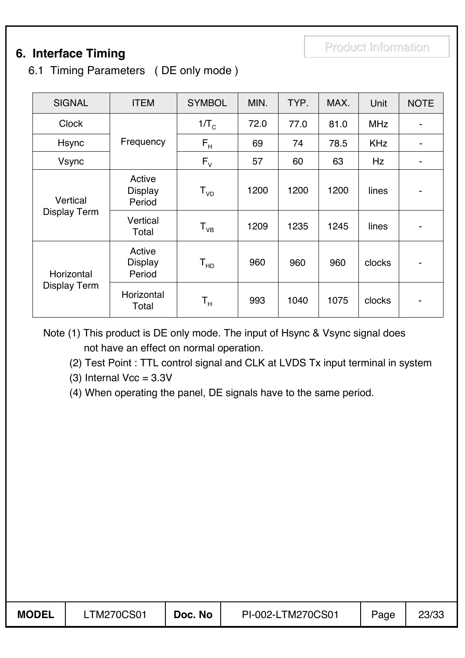## **6. Interface Timing**

6.1 Timing Parameters ( DE only mode )

| <b>SIGNAL</b>                     | <b>ITEM</b>                        | <b>SYMBOL</b>           | MIN. | TYP. | MAX. | Unit       | <b>NOTE</b>                  |
|-----------------------------------|------------------------------------|-------------------------|------|------|------|------------|------------------------------|
| <b>Clock</b>                      |                                    | $1/\text{T}_\text{C}$   | 72.0 | 77.0 | 81.0 | <b>MHz</b> | $\qquad \qquad \blacksquare$ |
| <b>Hsync</b>                      | Frequency                          | $F_H$                   | 69   | 74   | 78.5 | <b>KHz</b> | -                            |
| <b>Vsync</b>                      |                                    | $F_{V}$                 | 57   | 60   | 63   | <b>Hz</b>  | -                            |
| Vertical                          | Active<br><b>Display</b><br>Period | ${\sf T}_{\sf vD}$      | 1200 | 1200 | 1200 | lines      | ۰                            |
| <b>Display Term</b>               | Vertical<br>Total                  | $T_{VB}$                | 1209 | 1235 | 1245 | lines      | ۰                            |
| Horizontal<br><b>Display Term</b> | Active<br><b>Display</b><br>Period | ${\sf T}_{\sf HD}$      | 960  | 960  | 960  | clocks     | ۰                            |
|                                   | Horizontal<br>Total                | $\mathsf{T}_\mathsf{H}$ | 993  | 1040 | 1075 | clocks     |                              |

Note (1) This product is DE only mode. The input of Hsync & Vsync signal does not have an effect on normal operation.

(2) Test Point : TTL control signal and CLK at LVDS Tx input terminal in system

(3) Internal  $Vec = 3.3V$ 

(4) When operating the panel, DE signals have to the same period.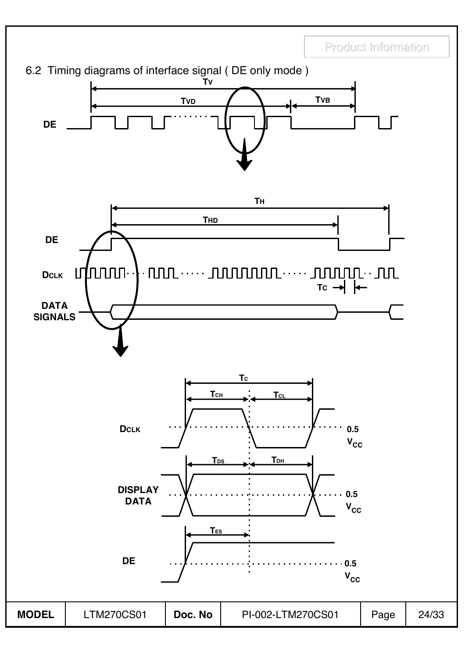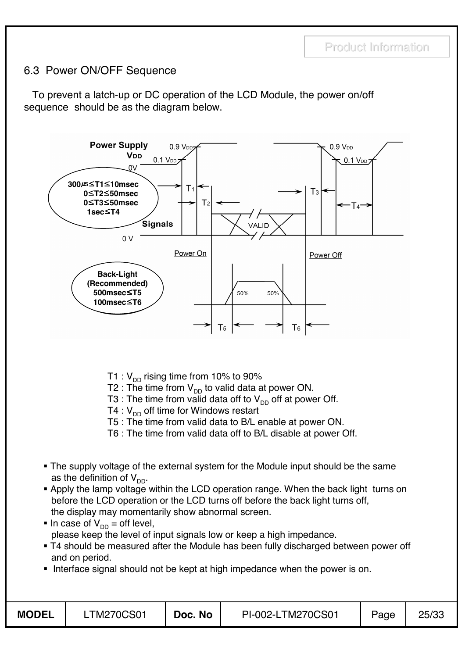### 6.3 Power ON/OFF Sequence

To prevent a latch-up or DC operation of the LCD Module, the power on/off sequence should be as the diagram below.



- T1 :  $V_{DD}$  rising time from 10% to 90%
- T2 : The time from  $V_{DD}$  to valid data at power ON.
- T3 : The time from valid data off to  $V_{DD}$  off at power Off.
- T4 :  $V_{DD}$  off time for Windows restart
- T5 : The time from valid data to B/L enable at power ON.
- T6 : The time from valid data off to B/L disable at power Off.
- The supply voltage of the external system for the Module input should be the same as the definition of  $V_{DD}$ .
- Apply the lamp voltage within the LCD operation range. When the back light turns on before the LCD operation or the LCD turns off before the back light turns off, the display may momentarily show abnormal screen.
- In case of  $V_{DD} =$  off level, please keep the level of input signals low or keep a high impedance.
- T4 should be measured after the Module has been fully discharged between power off and on period.
- Interface signal should not be kept at high impedance when the power is on.

| <b>MODEL</b> | <b>TM270CS01</b> | Doc. No | PI-002-LTM270CS01 | Page | 25/33 |
|--------------|------------------|---------|-------------------|------|-------|
|              |                  |         |                   |      |       |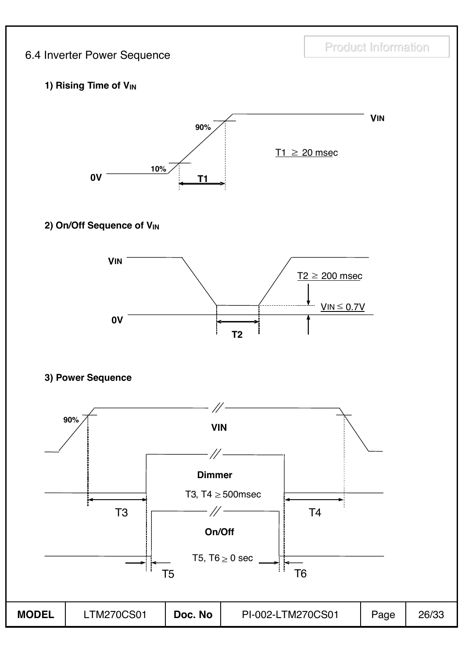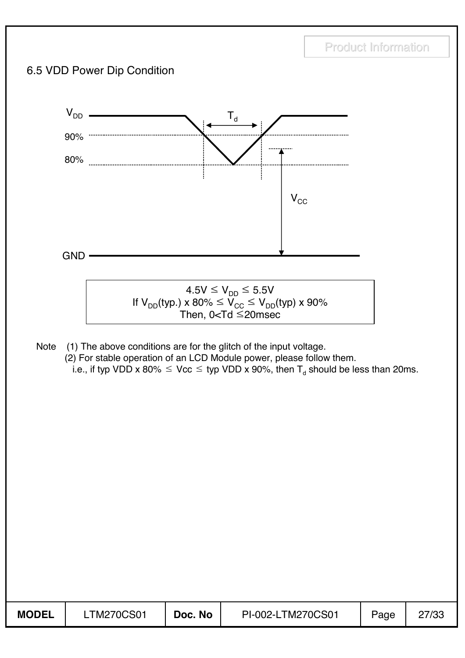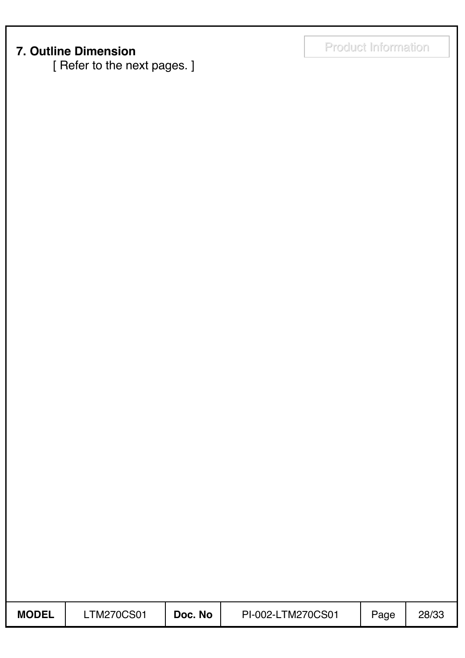## Product Information Product Information **7. Outline Dimension**

[ Refer to the next pages. ]

| <b>MODEL</b> | <b>TM270CS01</b> | Doc. No | PI-002-LTM270CS01 | Page | 28/33 |
|--------------|------------------|---------|-------------------|------|-------|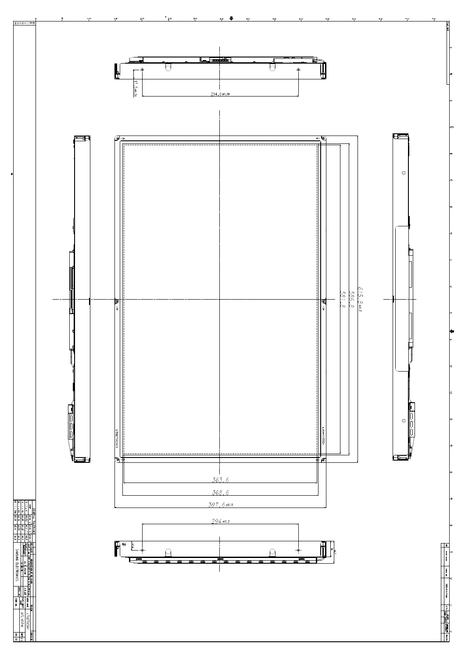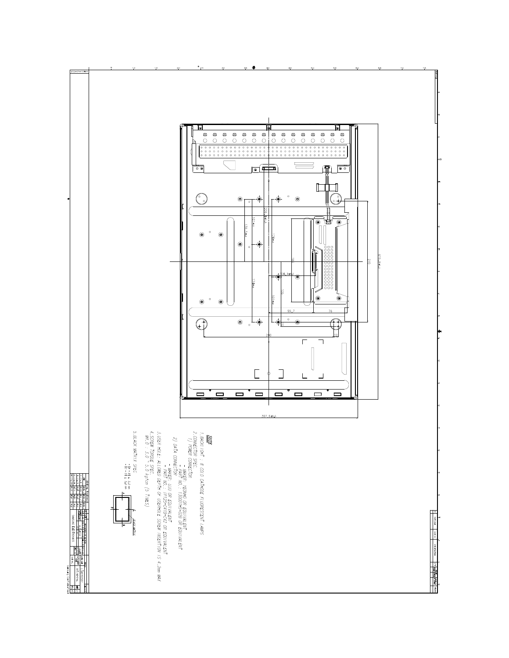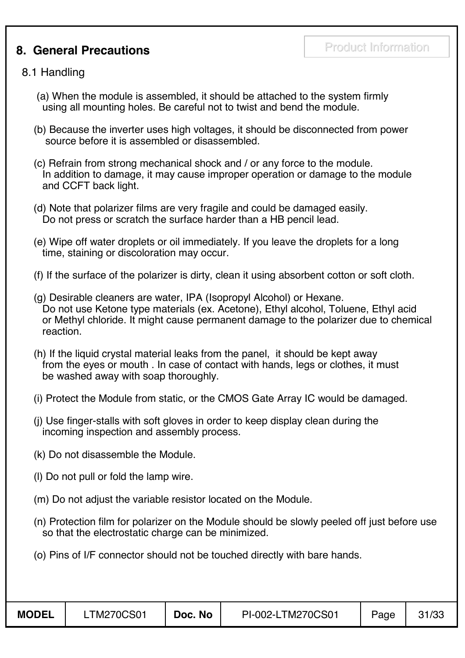## **8. General Precautions**

#### 8.1 Handling

- (a) When the module is assembled, it should be attached to the system firmly using all mounting holes. Be careful not to twist and bend the module.
- (b) Because the inverter uses high voltages, it should be disconnected from power source before it is assembled or disassembled.
- (c) Refrain from strong mechanical shock and / or any force to the module. In addition to damage, it may cause improper operation or damage to the module and CCFT back light.
- (d) Note that polarizer films are very fragile and could be damaged easily. Do not press or scratch the surface harder than a HB pencil lead.
- (e) Wipe off water droplets or oil immediately. If you leave the droplets for a long time, staining or discoloration may occur.
- (f) If the surface of the polarizer is dirty, clean it using absorbent cotton or soft cloth.
- (g) Desirable cleaners are water, IPA (Isopropyl Alcohol) or Hexane. Do not use Ketone type materials (ex. Acetone), Ethyl alcohol, Toluene, Ethyl acid or Methyl chloride. It might cause permanent damage to the polarizer due to chemical reaction.
- (h) If the liquid crystal material leaks from the panel, it should be kept away from the eyes or mouth . In case of contact with hands, legs or clothes, it must be washed away with soap thoroughly.
- (i) Protect the Module from static, or the CMOS Gate Array IC would be damaged.
- (j) Use finger-stalls with soft gloves in order to keep display clean during the incoming inspection and assembly process.
- (k) Do not disassemble the Module.
- (l) Do not pull or fold the lamp wire.
- (m) Do not adjust the variable resistor located on the Module.
- (n) Protection film for polarizer on the Module should be slowly peeled off just before use so that the electrostatic charge can be minimized.
- (o) Pins of I/F connector should not be touched directly with bare hands.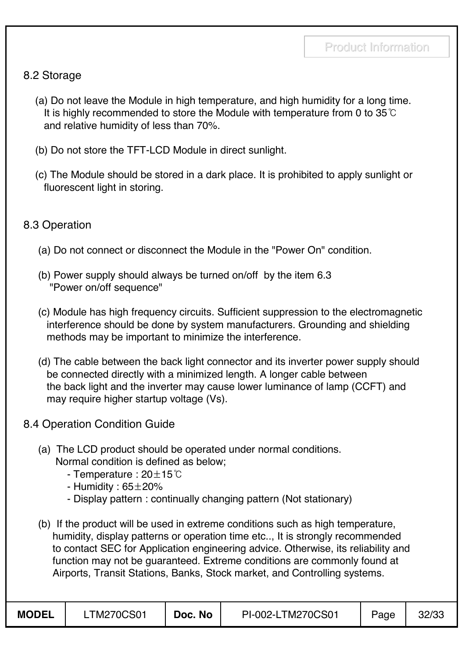### 8.2 Storage

- (a) Do not leave the Module in high temperature, and high humidity for a long time. It is highly recommended to store the Module with temperature from 0 to  $35^{\circ}$ C and relative humidity of less than 70%.
- (b) Do not store the TFT-LCD Module in direct sunlight.
- (c) The Module should be stored in a dark place. It is prohibited to apply sunlight or fluorescent light in storing.

#### 8.3 Operation

- (a) Do not connect or disconnect the Module in the "Power On" condition.
- (b) Power supply should always be turned on/off by the item 6.3 "Power on/off sequence"
- (c) Module has high frequency circuits. Sufficient suppression to the electromagnetic interference should be done by system manufacturers. Grounding and shielding methods may be important to minimize the interference.
- (d) The cable between the back light connector and its inverter power supply should be connected directly with a minimized length. A longer cable between the back light and the inverter may cause lower luminance of lamp (CCFT) and may require higher startup voltage (Vs).
- 8.4 Operation Condition Guide
	- (a) The LCD product should be operated under normal conditions. Normal condition is defined as below;
		- Temperature :  $20\pm15^{\circ}$ C
		- Humidity :  $65\pm20\%$
		- Display pattern : continually changing pattern (Not stationary)
	- (b) If the product will be used in extreme conditions such as high temperature, humidity, display patterns or operation time etc.., It is strongly recommended to contact SEC for Application engineering advice. Otherwise, its reliability and function may not be guaranteed. Extreme conditions are commonly found at Airports, Transit Stations, Banks, Stock market, and Controlling systems.

| <b>MODEL</b> | <b>LTM270CS01</b> | Doc. No | PI-002-LTM270CS01 | Page | 32/33 |
|--------------|-------------------|---------|-------------------|------|-------|
|--------------|-------------------|---------|-------------------|------|-------|